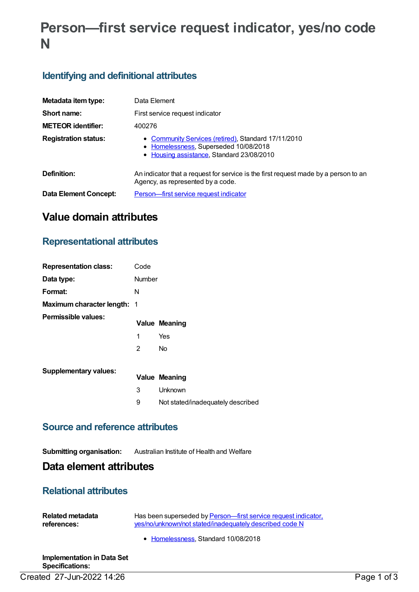# **Person—first service request indicator, yes/no code N**

### **Identifying and definitional attributes**

| Metadata item type:          | Data Element                                                                                                                              |  |  |
|------------------------------|-------------------------------------------------------------------------------------------------------------------------------------------|--|--|
| Short name:                  | First service request indicator                                                                                                           |  |  |
| <b>METEOR identifier:</b>    | 400276                                                                                                                                    |  |  |
| <b>Registration status:</b>  | • Community Services (retired), Standard 17/11/2010<br>• Homelessness, Superseded 10/08/2018<br>• Housing assistance, Standard 23/08/2010 |  |  |
| Definition:                  | An indicator that a request for service is the first request made by a person to an<br>Agency, as represented by a code.                  |  |  |
| <b>Data Element Concept:</b> | Person-first service request indicator                                                                                                    |  |  |

## **Value domain attributes**

### **Representational attributes**

| <b>Representation class:</b>       | Code          |                                   |
|------------------------------------|---------------|-----------------------------------|
| Data type:                         | <b>Number</b> |                                   |
| Format:                            | N             |                                   |
| <b>Maximum character length: 1</b> |               |                                   |
| Permissible values:                |               | <b>Value Meaning</b>              |
|                                    | 1             | Yes                               |
|                                    | 2             | <b>No</b>                         |
| <b>Supplementary values:</b>       |               |                                   |
|                                    |               | <b>Value Meaning</b>              |
|                                    | 3             | Unknown                           |
|                                    | 9             | Not stated/inadequately described |
|                                    |               |                                   |

#### **Source and reference attributes**

#### **Submitting organisation:** Australian Institute of Health and Welfare

### **Data element attributes**

### **Relational attributes**

| Related metadata | Has been superseded by Person—first service request indicator. |
|------------------|----------------------------------------------------------------|
| references:      | yes/no/unknown/not stated/inadequately described code N        |
|                  | • Homelessness, Standard 10/08/2018                            |

**Implementation in Data Set Specifications:** Created 27-Jun-2022 14:26 Page 1 of 3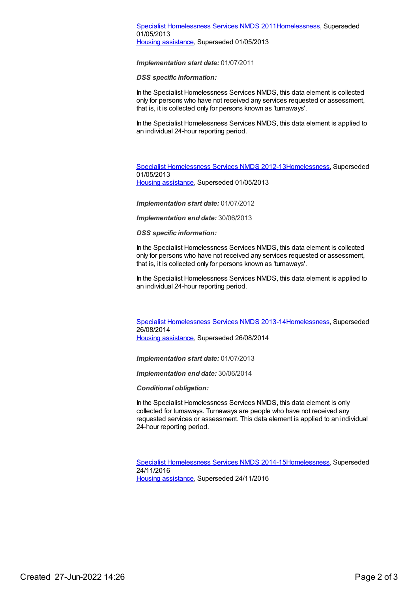*Implementation start date:* 01/07/2011

*DSS specific information:*

In the Specialist Homelessness Services NMDS, this data element is collected only for persons who have not received any services requested or assessment, that is, it is collected only for persons known as 'turnaways'.

In the Specialist Homelessness Services NMDS, this data element is applied to an individual 24-hour reporting period.

Specialist [Homelessness](https://meteor.aihw.gov.au/content/508954) Services NMDS 2012-1[3Homelessness](https://meteor.aihw.gov.au/RegistrationAuthority/14), Superseded 01/05/2013 Housing [assistance](https://meteor.aihw.gov.au/RegistrationAuthority/11), Superseded 01/05/2013

*Implementation start date:* 01/07/2012

*Implementation end date:* 30/06/2013

*DSS specific information:*

In the Specialist Homelessness Services NMDS, this data element is collected only for persons who have not received any services requested or assessment, that is, it is collected only for persons known as 'turnaways'.

In the Specialist Homelessness Services NMDS, this data element is applied to an individual 24-hour reporting period.

Specialist [Homelessness](https://meteor.aihw.gov.au/content/505626) Services NMDS 2013-1[4Homelessness](https://meteor.aihw.gov.au/RegistrationAuthority/14), Superseded 26/08/2014 Housing [assistance](https://meteor.aihw.gov.au/RegistrationAuthority/11), Superseded 26/08/2014

*Implementation start date:* 01/07/2013

*Implementation end date:* 30/06/2014

*Conditional obligation:*

In the Specialist Homelessness Services NMDS, this data element is only collected for turnaways. Turnaways are people who have not received any requested services or assessment. This data element is applied to an individual 24-hour reporting period.

Specialist [Homelessness](https://meteor.aihw.gov.au/content/581255) Services NMDS 2014-1[5Homelessness](https://meteor.aihw.gov.au/RegistrationAuthority/14), Superseded 24/11/2016 Housing [assistance](https://meteor.aihw.gov.au/RegistrationAuthority/11), Superseded 24/11/2016